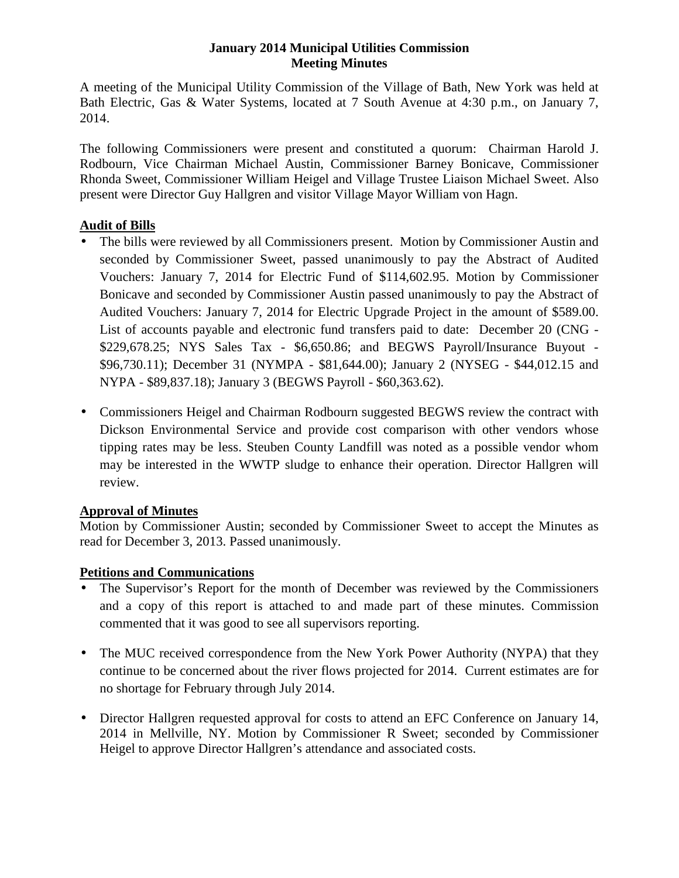### **January 2014 Municipal Utilities Commission Meeting Minutes**

A meeting of the Municipal Utility Commission of the Village of Bath, New York was held at Bath Electric, Gas & Water Systems, located at 7 South Avenue at 4:30 p.m., on January 7, 2014.

The following Commissioners were present and constituted a quorum: Chairman Harold J. Rodbourn, Vice Chairman Michael Austin, Commissioner Barney Bonicave, Commissioner Rhonda Sweet, Commissioner William Heigel and Village Trustee Liaison Michael Sweet. Also present were Director Guy Hallgren and visitor Village Mayor William von Hagn.

# **Audit of Bills**

- The bills were reviewed by all Commissioners present. Motion by Commissioner Austin and seconded by Commissioner Sweet, passed unanimously to pay the Abstract of Audited Vouchers: January 7, 2014 for Electric Fund of \$114,602.95. Motion by Commissioner Bonicave and seconded by Commissioner Austin passed unanimously to pay the Abstract of Audited Vouchers: January 7, 2014 for Electric Upgrade Project in the amount of \$589.00. List of accounts payable and electronic fund transfers paid to date: December 20 (CNG - \$229,678.25; NYS Sales Tax - \$6,650.86; and BEGWS Payroll/Insurance Buyout - \$96,730.11); December 31 (NYMPA - \$81,644.00); January 2 (NYSEG - \$44,012.15 and NYPA - \$89,837.18); January 3 (BEGWS Payroll - \$60,363.62).
- Commissioners Heigel and Chairman Rodbourn suggested BEGWS review the contract with Dickson Environmental Service and provide cost comparison with other vendors whose tipping rates may be less. Steuben County Landfill was noted as a possible vendor whom may be interested in the WWTP sludge to enhance their operation. Director Hallgren will review.

# **Approval of Minutes**

Motion by Commissioner Austin; seconded by Commissioner Sweet to accept the Minutes as read for December 3, 2013. Passed unanimously.

# **Petitions and Communications**

- The Supervisor's Report for the month of December was reviewed by the Commissioners and a copy of this report is attached to and made part of these minutes. Commission commented that it was good to see all supervisors reporting.
- The MUC received correspondence from the New York Power Authority (NYPA) that they continue to be concerned about the river flows projected for 2014. Current estimates are for no shortage for February through July 2014.
- Director Hallgren requested approval for costs to attend an EFC Conference on January 14, 2014 in Mellville, NY. Motion by Commissioner R Sweet; seconded by Commissioner Heigel to approve Director Hallgren's attendance and associated costs.